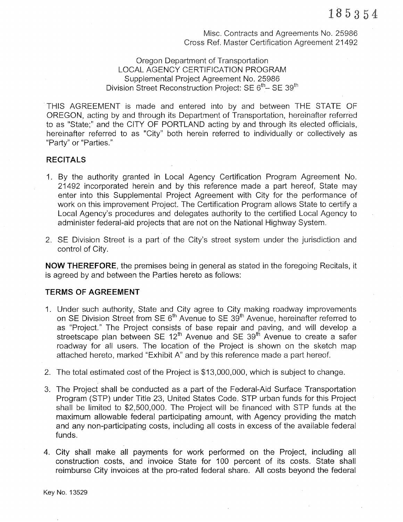Misc. Contracts and Agreements No. 25986 Cross Ref. Master Ceftification Agreement 21492

#### Oregon Department of Transportation LOCAL AGENCY CERTIFICATION PROGRAM Supplemental Project Agreement No. 25986 Division Street Reconstruction Project: SE  $6<sup>th</sup>$ – SE 39<sup>th</sup>

THIS AGREEMENT is made and entered into by and between THE STATE OF OREGON, acting by and through its Department of Transpoftation, hereinafter referred to as "State;" and the CITY OF PORTLAND acting by and through its elected officials, hereinafter referred to as "City" both herein referred to individually or collectively as "Party" or "Parties."

#### RECITALS

- 1. By the authority granted in Local Agency Ceftification Program Agreement No. 21492 incorporated herein and by this reference made a paft hereof, State may enter into this Supplemental Project Agreement with City for the performance of work on this improvement Project. The Ceftification Program allows State to certify a Local Agency's procedures and delegates authority to the certified Local Agency to administer federal-aid projects that are not on the National Highway System.
- 2. SE Division Street is a part of the City's street system under the jurisdiction and control of City.

NOW THEREFORE, the premises being in general as stated in the foregoing Recitals, it is agreed by and between the Parties hereto as follows:

#### TERMS OF AGREEMENT

- 1. Under such authority, State and City agree to City making roadway improvements on SE Division Street from SE 6<sup>th</sup> Avenue to SE 39<sup>th</sup> Avenue, hereinafter referred to as "Project." The Project consists of base repair and paving, and will develop a streetscape plan between SE  $12<sup>th</sup>$  Avenue and SE 39<sup>th</sup> Avenue to create a safer roadway for all users. The location of the Project is shown on the sketch map attached hereto, marked "Exhibit A" and by this reference made a part hereof.
- 2. The total estimated cost of the Project is \$13,000,000, which is subject to change.
- 3. The Project shall be conducted as a part of the Federal-Aid Surface Transportation Program (STP) under Title 23, United States Code. STP urban funds for this Project shall be limited to \$2,500,000. The Project will be financed with STP funds at the maximum allowable federal participating amount, with Agency providing the match and any non-parlicipating costs, including all costs in excess of the available federal funds.
- 4. City shall make all payments for work performed on the Project, including all construction costs, and invoice State for 100 percent of its costs. State shall reimburse City invoices at the pro-rated federal share. All costs beyond the federal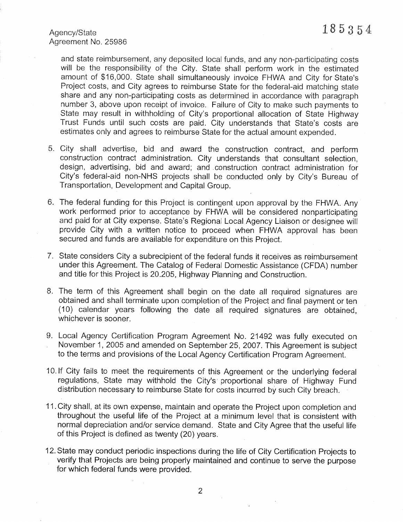Agency/State  $185354$ Agreement No. 25986

and state reimbursement, any deposited local funds, and any non-parlicipating costs will be the responsibility of the City. State shall perform work in the estimated amount of \$16,000. State shall simultaneously invoice FHWA and City for State's Project costs, and City agrees to reimburse State for the federal-aid matching state share and any non-participating costs as determined in accordance with paragraph number 3, above upon receipt of invoice. Failure of City to make such payments to State may result in withholding of City's proportional allocation of State Highway Trust Funds until such costs are paid. City understands that State's costs are estimates only and agrees to reimburse State for the actual amount expended.

- 5. City shall adveftise, bid and award the construction contract, and peform construction contract administration. City understands that consultant selection, design, adveftising, bid and award; and construction contract administration for City's federal-aid non-NHS projects shall be conducted only by City's Bureau of Transportation, Development and Capital Group.
- 6. The federal funding for this Project is contingent upon approval by the FHWA. Any work performed prior to acceptance by FHWA will be considered nonparticipating and paid for at City expense. State's Regional Local Agency Liaison or designee will<br>provide City with a written notice to proceed when FHWA approval has been secured and funds are available for expenditure on this Project.
- 7. State considers City a subrecipient of the federal funds it receives as reimbursement under this Agreement. The Catalog of Federal Domestic Assistance (CFDA) number and title for this Project is 20.205, Highway Planning and Construction.
- 8. The term of this Agreement shall begin on the date all required signatures are obtained and shall terminate upon completion of the Project and final payment or ten  $(10)$  calendar years following the date all required signatures are obtained, whichever is sooner.
- 9. Local Agency Certification Program Agreement No. 21492 was fully executed on November 1, 2005 and amended on September 25,2007. This Agreement is subject to the terms and provisions of the Local Agency Certification Program Agreement.
- 10.lf City fails to meet the requirements of this Agreement or the underlying federal regulations, State may withhold the City's proportional share of Highway Fund distribution necessary to reimburse State for costs incurred by such City breach.
- 11. City shall, at its own expense, maintain and operate the Project upon completion and throughout the useful life of the Project at a minimum level that is consistent with normal depreciation and/or service demand. State and City Agree that the useful life of this Project is defined as twenty (20) years.
- 12. State may conduct periodic inspections during the life of City Certification Projects to verify that Projects are being properly maintained and continue to serve the purpose for which federal funds were provided.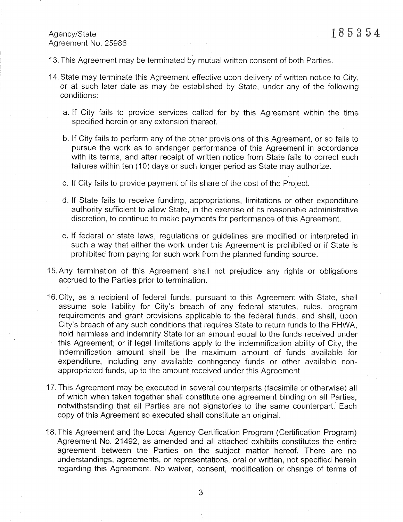## Agency/State  $185354$ Agreement No, 25986

13. This Agreement may be terminated by mutual written consent of both Parties.

- 14. State may terminate this Agreement effective upon delivery of written notice to City, or at such later date as may be established by State, under any of the following conditions:
	- a. lf City fails to provide services called for by this Agreement within the time specified herein or any extension thereof.
	- b. lf City fails to perform any of the other provisions of this Agreement, or so fails to pursue the work as to endanger performance of this Agreement in accordance with its terms, and after receipt of written notice from State fails to correct such failures within ten (10) days or such longer period as State may authorize.
	- c. lf City fails to provide payment of its share of the cost of the Project,
	- d. lf State fails to receive funding, appropriations, limitations or other expenditure authority sufficient to allow State, in the exercise of its reasonable administrative discretion, to continue to make payments for performance of this Agreement.
	- e. If federal or state laws, regulations or guidelines are modified or interpreted in such a way that either the work under this Agreement is prohibited or if State is prohibited from paying for such work from the planned funding source.
- 15.Any termination of this Agreement shall not prejudice any rights or obligations accrued to the Parties prior to termination,
- 16. City, as a recipient of federal funds, pursuant to this Agreement with State, shall assume sole liability for City's breach of any federal statutes, rules, program requirements and grant provisions applicable to the federal funds, and shall, upon City's breach of any such conditions that requires State to return funds to the FHWA, hold harmless and indemnify State for an amount equal to the funds received under this Agreement; or if legal limitations apply to the indemnification ability of City, the indemnification amount shall be the maximum amount of funds available for expenditure, including any available contingency funds or other available nonappropriated funds, up to the amount received under this Agreement.
- 17. This Agreement may be executed in several counterparts (facsimile or otherwise) all of which when taken together shall constitute one agreement binding on all Parties, notwithstanding that all Parties are not signatories to the same counterparl. Each copy of this Agreement so executed shall constitute an original.
- 18.This Agreement and the Local Agency Certification Program (Ceñification Program) Agreement No. 21492, as amended and all attached exhibits constitutes the entire agreement between the Pafties on the subject matter hereof. There are no understandings, agreements, or representations, oral or written, not specified herein regarding this Agreement. No waiver, consent, modification or change of terms of

3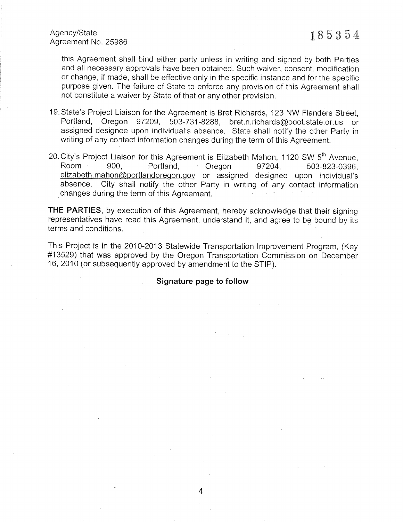#### Agency/State Agency/State  $18\,5\,3\,5\,4$

this Agreement shall bind either party unless in writing and signed by both Parties and all necessary approvals have been obtained. Such waiver, consent, modification or change, if made, shall be effective only in the specific instance and for the specific purpose given. The failure of State to enforce any provision of this Agreement shall not constitute a waiver by State of that or any other provision.

- 19.State's Project Liaison for the Agreement is Bret Richards, 123 NW Flanders Street, Poftland, Oregon 97209, 503-731-8288, bret.n.richards@odot.state.or.us or assigned designee upon individual's absence. State shall notify the other Party in writing of any contact information changes during the term of this Agreement.
- 20. City's Project Liaison for this Agreement is Elizabeth Mahon, 1120 SW 5<sup>th</sup> Avenue, Room 900, Portland, Oregon 97204, 503-823-0396, elizabeth.mahon@portlandoregon.gov or assigned designee upon individual's absence. Cit changes during the term of this Agreement.

THE PARTIES, by execution of this Agreement, hereby acknowledge that their signing representatives have read this Agreement, understand it, and agree to be bound by its terms and conditions.

This Project is in the 2010-2013 Statewide Transportation lmprovement Program, (Key #13529) that was approved by the Oregon Transportation Commission on December 16,2010 (or subsequently approved by amendment to the STIP).

Signature page to follow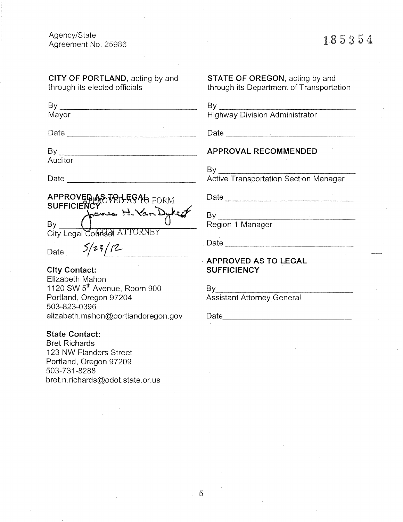Agency/State Agreement No. 25980

# 185354

CITY OF PORTLAND, acting by and through its elected officials

By \_ Mayor

Date <u>\_\_\_\_\_\_\_\_\_\_\_\_\_\_\_\_\_\_\_\_\_\_\_\_\_\_\_</u>

By

Auditor

Date

APPROVED AS VOLFRG4b FORM By City Legal Counted ATTORNEY

Date  $5/23/12$ 

City Contact: Elizabeth Mahon 1120 SW 5<sup>th</sup> Avenue, Room 900 Portland, Oregon 97204 503-823-0396

elizabeth.mahon@portlandoregon.gov

State Contact:

Bret Richards 123 NW Flanders Street Portland, Oregon 97209 503-73'1-8288 bret.n.richards@odot.state.or.us STATE OF OREGON, acting by and through its Department of Transpofiation

By Highway Division Administrator

Date

### APPROVAL RECOMMENDED

By

**Active Transportation Section Manager** 

Date experience and the contract of the contract of the contract of the contract of the contract of the contract of the contract of the contract of the contract of the contract of the contract of the contract of the contra

 $By$ Region 1 Manager

Date and the state of the state of the state of the state of the state of the state of the state of the state of the state of the state of the state of the state of the state of the state of the state of the state of the s

APPROVED AS TO LEGAL **SUFFICIENCY** 

 $By$ Assistant Attorney General

Date <u>\_\_\_\_\_\_\_\_\_\_\_\_\_\_\_</u>

5